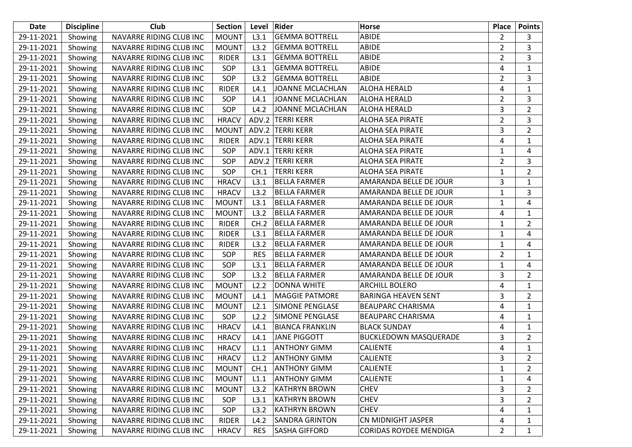| <b>Date</b> | <b>Discipline</b> | Club                    | <b>Section</b> | Level      | Rider                   | Horse                         | <b>Place</b>   | <b>Points</b>  |
|-------------|-------------------|-------------------------|----------------|------------|-------------------------|-------------------------------|----------------|----------------|
| 29-11-2021  | Showing           | NAVARRE RIDING CLUB INC | <b>MOUNT</b>   | L3.1       | <b>GEMMA BOTTRELL</b>   | ABIDE                         | $\overline{2}$ | 3              |
| 29-11-2021  | Showing           | NAVARRE RIDING CLUB INC | <b>MOUNT</b>   | L3.2       | <b>GEMMA BOTTRELL</b>   | ABIDE                         | $\overline{2}$ | 3              |
| 29-11-2021  | Showing           | NAVARRE RIDING CLUB INC | <b>RIDER</b>   | L3.1       | <b>GEMMA BOTTRELL</b>   | ABIDE                         | $\overline{2}$ | 3              |
| 29-11-2021  | Showing           | NAVARRE RIDING CLUB INC | SOP            | L3.1       | <b>GEMMA BOTTRELL</b>   | ABIDE                         | 4              | $\mathbf{1}$   |
| 29-11-2021  | Showing           | NAVARRE RIDING CLUB INC | SOP            | L3.2       | <b>GEMMA BOTTRELL</b>   | ABIDE                         | 2              | 3              |
| 29-11-2021  | Showing           | NAVARRE RIDING CLUB INC | <b>RIDER</b>   | L4.1       | <b>JOANNE MCLACHLAN</b> | ALOHA HERALD                  | 4              | $\mathbf{1}$   |
| 29-11-2021  | Showing           | NAVARRE RIDING CLUB INC | SOP            | L4.1       | <b>JOANNE MCLACHLAN</b> | ALOHA HERALD                  | $\overline{2}$ | 3              |
| 29-11-2021  | Showing           | NAVARRE RIDING CLUB INC | SOP            | L4.2       | <b>JOANNE MCLACHLAN</b> | ALOHA HERALD                  | 3              | $\overline{2}$ |
| 29-11-2021  | Showing           | NAVARRE RIDING CLUB INC | <b>HRACV</b>   | ADV.2      | <b>TERRI KERR</b>       | <b>ALOHA SEA PIRATE</b>       | $\overline{2}$ | 3              |
| 29-11-2021  | Showing           | NAVARRE RIDING CLUB INC | <b>MOUNT</b>   |            | ADV.2 TERRI KERR        | <b>ALOHA SEA PIRATE</b>       | 3              | $\overline{2}$ |
| 29-11-2021  | Showing           | NAVARRE RIDING CLUB INC | <b>RIDER</b>   |            | ADV.1 TERRI KERR        | <b>ALOHA SEA PIRATE</b>       | 4              | $\mathbf{1}$   |
| 29-11-2021  | Showing           | NAVARRE RIDING CLUB INC | SOP            |            | ADV.1 TERRI KERR        | <b>ALOHA SEA PIRATE</b>       | 1              | 4              |
| 29-11-2021  | Showing           | NAVARRE RIDING CLUB INC | SOP            |            | ADV.2 TERRI KERR        | <b>ALOHA SEA PIRATE</b>       | $\overline{2}$ | 3              |
| 29-11-2021  | Showing           | NAVARRE RIDING CLUB INC | SOP            | CH.1       | <b>TERRI KERR</b>       | <b>ALOHA SEA PIRATE</b>       | 1              | $\overline{2}$ |
| 29-11-2021  | Showing           | NAVARRE RIDING CLUB INC | <b>HRACV</b>   | L3.1       | <b>BELLA FARMER</b>     | AMARANDA BELLE DE JOUR        | 3              | $\mathbf{1}$   |
| 29-11-2021  | Showing           | NAVARRE RIDING CLUB INC | <b>HRACV</b>   | L3.2       | <b>BELLA FARMER</b>     | AMARANDA BELLE DE JOUR        | 1              | 3              |
| 29-11-2021  | Showing           | NAVARRE RIDING CLUB INC | <b>MOUNT</b>   | L3.1       | <b>BELLA FARMER</b>     | AMARANDA BELLE DE JOUR        | 1              | 4              |
| 29-11-2021  | Showing           | NAVARRE RIDING CLUB INC | <b>MOUNT</b>   | L3.2       | <b>BELLA FARMER</b>     | AMARANDA BELLE DE JOUR        | 4              | $\mathbf{1}$   |
| 29-11-2021  | Showing           | NAVARRE RIDING CLUB INC | <b>RIDER</b>   | CH.2       | <b>BELLA FARMER</b>     | AMARANDA BELLE DE JOUR        | 1              | $\overline{2}$ |
| 29-11-2021  | Showing           | NAVARRE RIDING CLUB INC | <b>RIDER</b>   | L3.1       | <b>BELLA FARMER</b>     | AMARANDA BELLE DE JOUR        | 1              | 4              |
| 29-11-2021  | Showing           | NAVARRE RIDING CLUB INC | <b>RIDER</b>   | L3.2       | <b>BELLA FARMER</b>     | AMARANDA BELLE DE JOUR        | 1              | 4              |
| 29-11-2021  | Showing           | NAVARRE RIDING CLUB INC | SOP            | <b>RES</b> | <b>BELLA FARMER</b>     | AMARANDA BELLE DE JOUR        | 2              | $\mathbf 1$    |
| 29-11-2021  | Showing           | NAVARRE RIDING CLUB INC | SOP            | L3.1       | <b>BELLA FARMER</b>     | AMARANDA BELLE DE JOUR        | 1              | 4              |
| 29-11-2021  | Showing           | NAVARRE RIDING CLUB INC | SOP            | L3.2       | <b>BELLA FARMER</b>     | AMARANDA BELLE DE JOUR        | 3              | $\overline{2}$ |
| 29-11-2021  | Showing           | NAVARRE RIDING CLUB INC | <b>MOUNT</b>   | L2.2       | <b>DONNA WHITE</b>      | <b>ARCHILL BOLERO</b>         | 4              | $\mathbf{1}$   |
| 29-11-2021  | Showing           | NAVARRE RIDING CLUB INC | <b>MOUNT</b>   | L4.1       | <b>MAGGIE PATMORE</b>   | <b>BARINGA HEAVEN SENT</b>    | 3              | $\overline{2}$ |
| 29-11-2021  | Showing           | NAVARRE RIDING CLUB INC | <b>MOUNT</b>   | L2.1       | <b>SIMONE PENGLASE</b>  | <b>BEAUPARC CHARISMA</b>      | 4              | $\mathbf{1}$   |
| 29-11-2021  | Showing           | NAVARRE RIDING CLUB INC | SOP            | L2.2       | <b>SIMONE PENGLASE</b>  | <b>BEAUPARC CHARISMA</b>      | 4              | $\mathbf{1}$   |
| 29-11-2021  | Showing           | NAVARRE RIDING CLUB INC | <b>HRACV</b>   | L4.1       | <b>BIANCA FRANKLIN</b>  | <b>BLACK SUNDAY</b>           | 4              | $\mathbf{1}$   |
| 29-11-2021  | Showing           | NAVARRE RIDING CLUB INC | <b>HRACV</b>   | L4.1       | <b>JANE PIGGOTT</b>     | <b>BUCKLEDOWN MASQUERADE</b>  | 3              | $\overline{2}$ |
| 29-11-2021  | Showing           | NAVARRE RIDING CLUB INC | <b>HRACV</b>   | L1.1       | <b>ANTHONY GIMM</b>     | <b>CALIENTE</b>               | 4              | $\mathbf{1}$   |
| 29-11-2021  | Showing           | NAVARRE RIDING CLUB INC | <b>HRACV</b>   | L1.2       | <b>ANTHONY GIMM</b>     | CALIENTE                      | 3              | $\overline{2}$ |
| 29-11-2021  | Showing           | NAVARRE RIDING CLUB INC | <b>MOUNT</b>   | CH.1       | <b>ANTHONY GIMM</b>     | <b>CALIENTE</b>               | 1              | 2              |
| 29-11-2021  | Showing           | NAVARRE RIDING CLUB INC | <b>MOUNT</b>   | L1.1       | <b>ANTHONY GIMM</b>     | <b>CALIENTE</b>               | 1              | 4              |
| 29-11-2021  | Showing           | NAVARRE RIDING CLUB INC | <b>MOUNT</b>   | L3.2       | <b>KATHRYN BROWN</b>    | <b>CHEV</b>                   | 3              | $\overline{2}$ |
| 29-11-2021  | Showing           | NAVARRE RIDING CLUB INC | SOP            | L3.1       | <b>KATHRYN BROWN</b>    | <b>CHEV</b>                   | 3              | 2              |
| 29-11-2021  | Showing           | NAVARRE RIDING CLUB INC | SOP            | L3.2       | <b>KATHRYN BROWN</b>    | <b>CHEV</b>                   | 4              | 1              |
| 29-11-2021  | Showing           | NAVARRE RIDING CLUB INC | <b>RIDER</b>   | L4.2       | <b>SANDRA GRINTON</b>   | CN MIDNIGHT JASPER            | 4              | 1              |
| 29-11-2021  | Showing           | NAVARRE RIDING CLUB INC | <b>HRACV</b>   | <b>RES</b> | <b>SASHA GIFFORD</b>    | <b>CORIDAS ROYDEE MENDIGA</b> | $\overline{2}$ | 1              |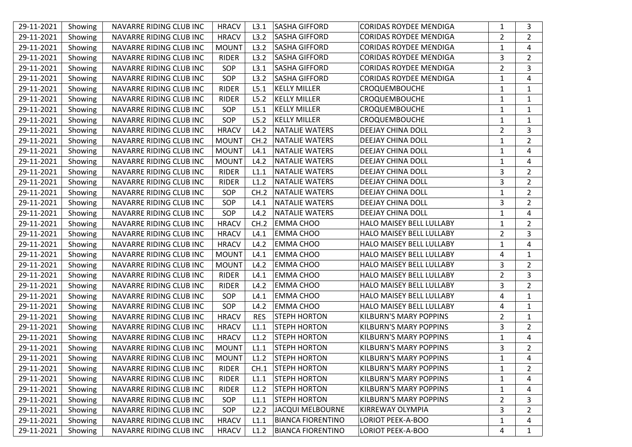| 29-11-2021 | Showing | NAVARRE RIDING CLUB INC | <b>HRACV</b> | L3.1       | <b>SASHA GIFFORD</b>     | <b>CORIDAS ROYDEE MENDIGA</b> | 1              | 3              |
|------------|---------|-------------------------|--------------|------------|--------------------------|-------------------------------|----------------|----------------|
| 29-11-2021 | Showing | NAVARRE RIDING CLUB INC | <b>HRACV</b> | L3.2       | <b>SASHA GIFFORD</b>     | <b>CORIDAS ROYDEE MENDIGA</b> | $\overline{2}$ | $\overline{2}$ |
| 29-11-2021 | Showing | NAVARRE RIDING CLUB INC | <b>MOUNT</b> | L3.2       | <b>SASHA GIFFORD</b>     | <b>CORIDAS ROYDEE MENDIGA</b> | 1              | 4              |
| 29-11-2021 | Showing | NAVARRE RIDING CLUB INC | <b>RIDER</b> | L3.2       | <b>SASHA GIFFORD</b>     | <b>CORIDAS ROYDEE MENDIGA</b> | 3              | $\overline{2}$ |
| 29-11-2021 | Showing | NAVARRE RIDING CLUB INC | SOP          | L3.1       | <b>SASHA GIFFORD</b>     | <b>CORIDAS ROYDEE MENDIGA</b> | $\overline{2}$ | 3              |
| 29-11-2021 | Showing | NAVARRE RIDING CLUB INC | SOP          | L3.2       | <b>SASHA GIFFORD</b>     | <b>CORIDAS ROYDEE MENDIGA</b> | 1              | 4              |
| 29-11-2021 | Showing | NAVARRE RIDING CLUB INC | <b>RIDER</b> | L5.1       | <b>KELLY MILLER</b>      | CROQUEMBOUCHE                 | 1              | 1              |
| 29-11-2021 | Showing | NAVARRE RIDING CLUB INC | <b>RIDER</b> | L5.2       | <b>KELLY MILLER</b>      | <b>CROQUEMBOUCHE</b>          | 1              | 1              |
| 29-11-2021 | Showing | NAVARRE RIDING CLUB INC | SOP          | L5.1       | <b>KELLY MILLER</b>      | CROQUEMBOUCHE                 | 1              | 1              |
| 29-11-2021 | Showing | NAVARRE RIDING CLUB INC | SOP          | L5.2       | <b>KELLY MILLER</b>      | CROQUEMBOUCHE                 | 1              | 1              |
| 29-11-2021 | Showing | NAVARRE RIDING CLUB INC | <b>HRACV</b> | L4.2       | <b>NATALIE WATERS</b>    | DEEJAY CHINA DOLL             | $\overline{2}$ | 3              |
| 29-11-2021 | Showing | NAVARRE RIDING CLUB INC | <b>MOUNT</b> | CH.2       | <b>NATALIE WATERS</b>    | DEEJAY CHINA DOLL             | 1              | $\overline{2}$ |
| 29-11-2021 | Showing | NAVARRE RIDING CLUB INC | <b>MOUNT</b> | L4.1       | <b>NATALIE WATERS</b>    | DEEJAY CHINA DOLL             | 1              | 4              |
| 29-11-2021 | Showing | NAVARRE RIDING CLUB INC | <b>MOUNT</b> | L4.2       | <b>NATALIE WATERS</b>    | DEEJAY CHINA DOLL             | 1              | 4              |
| 29-11-2021 | Showing | NAVARRE RIDING CLUB INC | <b>RIDER</b> | L1.1       | <b>NATALIE WATERS</b>    | DEEJAY CHINA DOLL             | 3              | $\overline{2}$ |
| 29-11-2021 | Showing | NAVARRE RIDING CLUB INC | <b>RIDER</b> | L1.2       | <b>NATALIE WATERS</b>    | DEEJAY CHINA DOLL             | 3              | $\overline{2}$ |
| 29-11-2021 | Showing | NAVARRE RIDING CLUB INC | SOP          | CH.2       | <b>NATALIE WATERS</b>    | DEEJAY CHINA DOLL             | 1              | $\overline{2}$ |
| 29-11-2021 | Showing | NAVARRE RIDING CLUB INC | SOP          | L4.1       | <b>NATALIE WATERS</b>    | DEEJAY CHINA DOLL             | 3              | $\overline{2}$ |
| 29-11-2021 | Showing | NAVARRE RIDING CLUB INC | SOP          | L4.2       | <b>NATALIE WATERS</b>    | DEEJAY CHINA DOLL             | 1              | 4              |
| 29-11-2021 | Showing | NAVARRE RIDING CLUB INC | <b>HRACV</b> | CH.2       | <b>EMMA CHOO</b>         | HALO MAISEY BELL LULLABY      | 1              | $\overline{2}$ |
| 29-11-2021 | Showing | NAVARRE RIDING CLUB INC | <b>HRACV</b> | L4.1       | <b>EMMA CHOO</b>         | HALO MAISEY BELL LULLABY      | $\overline{2}$ | 3              |
| 29-11-2021 | Showing | NAVARRE RIDING CLUB INC | <b>HRACV</b> | L4.2       | <b>EMMA CHOO</b>         | HALO MAISEY BELL LULLABY      | 1              | 4              |
| 29-11-2021 | Showing | NAVARRE RIDING CLUB INC | <b>MOUNT</b> | L4.1       | <b>EMMA CHOO</b>         | HALO MAISEY BELL LULLABY      | 4              | 1              |
| 29-11-2021 | Showing | NAVARRE RIDING CLUB INC | <b>MOUNT</b> | L4.2       | <b>EMMA CHOO</b>         | HALO MAISEY BELL LULLABY      | 3              | $\overline{2}$ |
| 29-11-2021 | Showing | NAVARRE RIDING CLUB INC | <b>RIDER</b> | L4.1       | <b>EMMA CHOO</b>         | HALO MAISEY BELL LULLABY      | $\overline{2}$ | 3              |
| 29-11-2021 | Showing | NAVARRE RIDING CLUB INC | <b>RIDER</b> | L4.2       | <b>EMMA CHOO</b>         | HALO MAISEY BELL LULLABY      | 3              | $\overline{2}$ |
| 29-11-2021 | Showing | NAVARRE RIDING CLUB INC | SOP          | L4.1       | <b>EMMA CHOO</b>         | HALO MAISEY BELL LULLABY      | 4              | $\mathbf{1}$   |
| 29-11-2021 | Showing | NAVARRE RIDING CLUB INC | SOP          | L4.2       | <b>EMMA CHOO</b>         | HALO MAISEY BELL LULLABY      | 4              | 1              |
| 29-11-2021 | Showing | NAVARRE RIDING CLUB INC | <b>HRACV</b> | <b>RES</b> | <b>STEPH HORTON</b>      | KILBURN'S MARY POPPINS        | $\overline{2}$ | 1              |
| 29-11-2021 | Showing | NAVARRE RIDING CLUB INC | <b>HRACV</b> | L1.1       | <b>STEPH HORTON</b>      | KILBURN'S MARY POPPINS        | 3              | $\overline{2}$ |
| 29-11-2021 | Showing | NAVARRE RIDING CLUB INC | <b>HRACV</b> | L1.2       | <b>STEPH HORTON</b>      | <b>KILBURN'S MARY POPPINS</b> | 1              | 4              |
| 29-11-2021 | Showing | NAVARRE RIDING CLUB INC | <b>MOUNT</b> | L1.1       | <b>STEPH HORTON</b>      | <b>KILBURN'S MARY POPPINS</b> | 3              | $\overline{2}$ |
| 29-11-2021 | Showing | NAVARRE RIDING CLUB INC | <b>MOUNT</b> | L1.2       | <b>STEPH HORTON</b>      | <b>KILBURN'S MARY POPPINS</b> | $\mathbf{1}$   | 4              |
| 29-11-2021 | Showing | NAVARRE RIDING CLUB INC | <b>RIDER</b> | CH.1       | <b>STEPH HORTON</b>      | KILBURN'S MARY POPPINS        | $\mathbf{1}$   | 2              |
| 29-11-2021 | Showing | NAVARRE RIDING CLUB INC | <b>RIDER</b> | L1.1       | <b>STEPH HORTON</b>      | KILBURN'S MARY POPPINS        | 1              | 4              |
| 29-11-2021 | Showing | NAVARRE RIDING CLUB INC | <b>RIDER</b> | L1.2       | <b>STEPH HORTON</b>      | KILBURN'S MARY POPPINS        | $\mathbf{1}$   | 4              |
| 29-11-2021 | Showing | NAVARRE RIDING CLUB INC | SOP          | L1.1       | <b>STEPH HORTON</b>      | KILBURN'S MARY POPPINS        | $\overline{2}$ | 3              |
| 29-11-2021 | Showing | NAVARRE RIDING CLUB INC | SOP          | L2.2       | <b>JACQUI MELBOURNE</b>  | KIRREWAY OLYMPIA              | 3              | 2              |
| 29-11-2021 | Showing | NAVARRE RIDING CLUB INC | <b>HRACV</b> | L1.1       | <b>BIANCA FIORENTINO</b> | <b>LORIOT PEEK-A-BOO</b>      | 1              | 4              |
| 29-11-2021 | Showing | NAVARRE RIDING CLUB INC | <b>HRACV</b> | L1.2       | <b>BIANCA FIORENTINO</b> | <b>LORIOT PEEK-A-BOO</b>      | 4              | $\mathbf{1}$   |